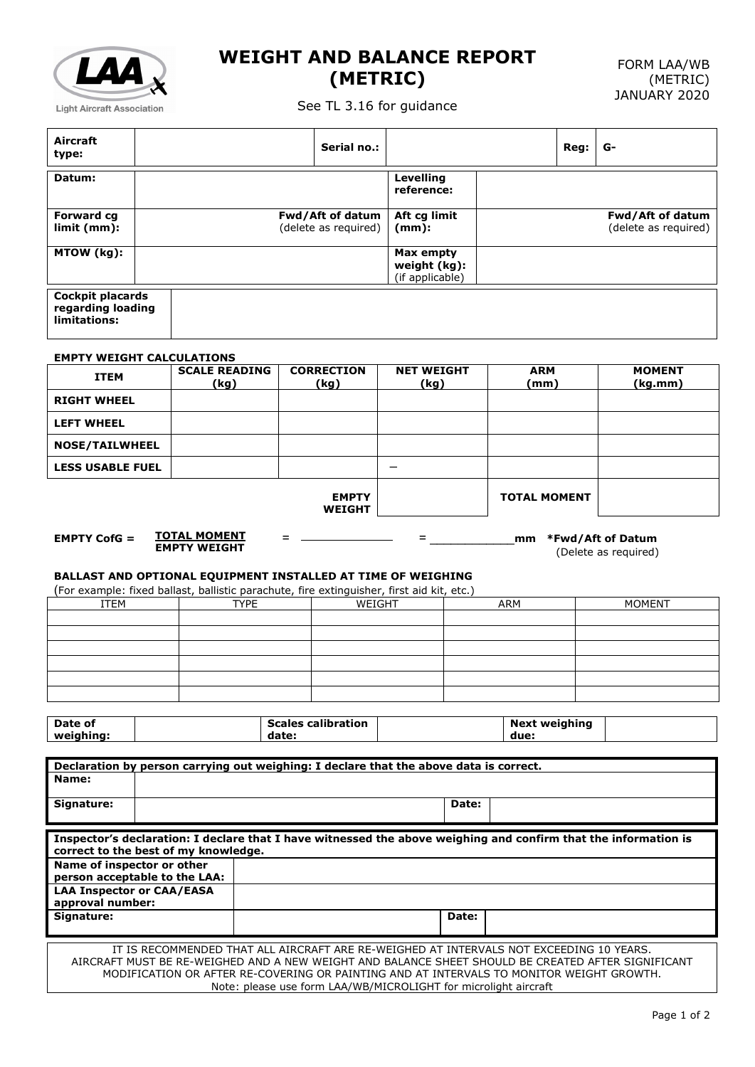

## **WEIGHT AND BALANCE REPORT (METRIC)**

See TL 3.16 for guidance

| Aircraft<br>type:                                                                                                                                                                                                                                                                                                                                                  |  |                              |                                          | Serial no.:               |                                                                                                                 |                              | Reg: | G-                                       |
|--------------------------------------------------------------------------------------------------------------------------------------------------------------------------------------------------------------------------------------------------------------------------------------------------------------------------------------------------------------------|--|------------------------------|------------------------------------------|---------------------------|-----------------------------------------------------------------------------------------------------------------|------------------------------|------|------------------------------------------|
| Datum:                                                                                                                                                                                                                                                                                                                                                             |  |                              |                                          |                           | <b>Levelling</b><br>reference:                                                                                  |                              |      |                                          |
| <b>Forward cg</b><br>limit (mm):                                                                                                                                                                                                                                                                                                                                   |  |                              | Fwd/Aft of datum<br>(delete as required) |                           | Aft cg limit<br>$(mm)$ :                                                                                        |                              |      | Fwd/Aft of datum<br>(delete as required) |
| MTOW (kg):                                                                                                                                                                                                                                                                                                                                                         |  |                              |                                          |                           | Max empty<br>weight (kg):<br>(if applicable)                                                                    |                              |      |                                          |
| <b>Cockpit placards</b><br>regarding loading<br>limitations:                                                                                                                                                                                                                                                                                                       |  |                              |                                          |                           |                                                                                                                 |                              |      |                                          |
|                                                                                                                                                                                                                                                                                                                                                                    |  |                              |                                          |                           |                                                                                                                 |                              |      |                                          |
| <b>EMPTY WEIGHT CALCULATIONS</b><br><b>ITEM</b>                                                                                                                                                                                                                                                                                                                    |  | <b>SCALE READING</b><br>(kg) |                                          | <b>CORRECTION</b><br>(kg) | <b>NET WEIGHT</b><br>(kg)                                                                                       | <b>ARM</b><br>(mm)           |      | <b>MOMENT</b><br>(kq.mm)                 |
| <b>RIGHT WHEEL</b>                                                                                                                                                                                                                                                                                                                                                 |  |                              |                                          |                           |                                                                                                                 |                              |      |                                          |
| <b>LEFT WHEEL</b>                                                                                                                                                                                                                                                                                                                                                  |  |                              |                                          |                           |                                                                                                                 |                              |      |                                          |
| <b>NOSE/TAILWHEEL</b>                                                                                                                                                                                                                                                                                                                                              |  |                              |                                          |                           |                                                                                                                 |                              |      |                                          |
| <b>LESS USABLE FUEL</b>                                                                                                                                                                                                                                                                                                                                            |  |                              |                                          |                           |                                                                                                                 |                              |      |                                          |
| <b>TOTAL MOMENT</b><br><b>EMPTY</b><br><b>WEIGHT</b><br><u>TOTAL MOMENT</u><br><b>EMPTY CofG <math>=</math></b><br>*Fwd/Aft of Datum<br>$=$<br>mm<br>=<br><b>EMPTY WEIGHT</b><br>(Delete as required)<br>BALLAST AND OPTIONAL EQUIPMENT INSTALLED AT TIME OF WEIGHING<br>(For example: fixed ballast, ballistic parachute, fire extinguisher, first aid kit, etc.) |  |                              |                                          |                           |                                                                                                                 |                              |      |                                          |
|                                                                                                                                                                                                                                                                                                                                                                    |  |                              |                                          |                           |                                                                                                                 |                              |      |                                          |
| <b>ITEM</b>                                                                                                                                                                                                                                                                                                                                                        |  | <b>TYPE</b>                  |                                          | WEIGHT                    |                                                                                                                 | <b>ARM</b>                   |      | <b>MOMENT</b>                            |
|                                                                                                                                                                                                                                                                                                                                                                    |  |                              |                                          |                           |                                                                                                                 |                              |      |                                          |
|                                                                                                                                                                                                                                                                                                                                                                    |  |                              |                                          |                           |                                                                                                                 |                              |      |                                          |
|                                                                                                                                                                                                                                                                                                                                                                    |  |                              |                                          |                           |                                                                                                                 |                              |      |                                          |
|                                                                                                                                                                                                                                                                                                                                                                    |  |                              |                                          |                           |                                                                                                                 |                              |      |                                          |
|                                                                                                                                                                                                                                                                                                                                                                    |  |                              |                                          |                           |                                                                                                                 |                              |      |                                          |
| Date of<br>weighing:                                                                                                                                                                                                                                                                                                                                               |  |                              | date:                                    | <b>Scales calibration</b> |                                                                                                                 | <b>Next weighing</b><br>due: |      |                                          |
|                                                                                                                                                                                                                                                                                                                                                                    |  |                              |                                          |                           | Declaration by person carrying out weighing: I declare that the above data is correct.                          |                              |      |                                          |
| Name:                                                                                                                                                                                                                                                                                                                                                              |  |                              |                                          |                           |                                                                                                                 |                              |      |                                          |
| Signature:                                                                                                                                                                                                                                                                                                                                                         |  |                              |                                          |                           | Date:                                                                                                           |                              |      |                                          |
|                                                                                                                                                                                                                                                                                                                                                                    |  |                              |                                          |                           | Inspector's declaration: I declare that I have witnessed the above weighing and confirm that the information is |                              |      |                                          |
| correct to the best of my knowledge.                                                                                                                                                                                                                                                                                                                               |  |                              |                                          |                           |                                                                                                                 |                              |      |                                          |
| Name of inspector or other<br>person acceptable to the LAA:                                                                                                                                                                                                                                                                                                        |  |                              |                                          |                           |                                                                                                                 |                              |      |                                          |
| <b>LAA Inspector or CAA/EASA</b>                                                                                                                                                                                                                                                                                                                                   |  |                              |                                          |                           |                                                                                                                 |                              |      |                                          |
| approval number:<br>Signature:                                                                                                                                                                                                                                                                                                                                     |  |                              |                                          |                           | Date:                                                                                                           |                              |      |                                          |
|                                                                                                                                                                                                                                                                                                                                                                    |  |                              |                                          |                           |                                                                                                                 |                              |      |                                          |

Note: please use form LAA/WB/MICROLIGHT for microlight aircraft